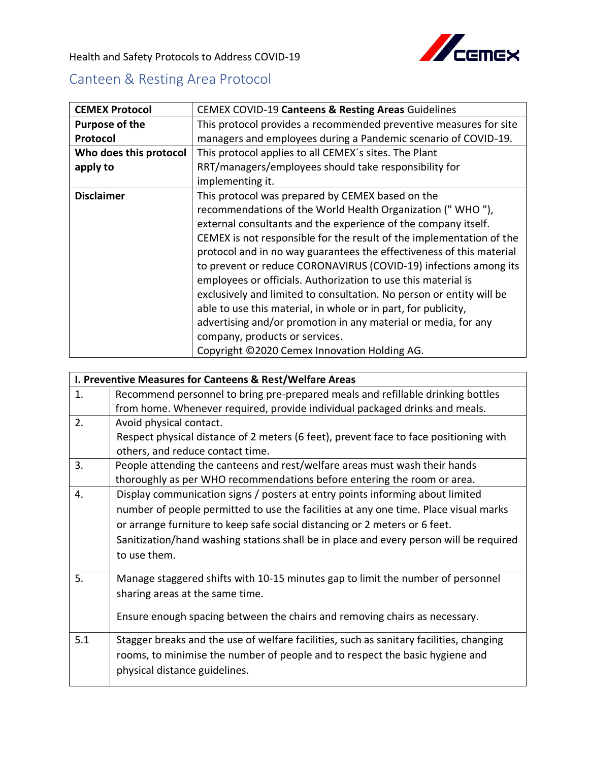

Health and Safety Protocols to Address COVID-19

## Canteen & Resting Area Protocol

| <b>CEMEX Protocol</b>  | CEMEX COVID-19 Canteens & Resting Areas Guidelines                   |
|------------------------|----------------------------------------------------------------------|
| Purpose of the         | This protocol provides a recommended preventive measures for site    |
| Protocol               | managers and employees during a Pandemic scenario of COVID-19.       |
| Who does this protocol | This protocol applies to all CEMEX's sites. The Plant                |
| apply to               | RRT/managers/employees should take responsibility for                |
|                        | implementing it.                                                     |
| <b>Disclaimer</b>      | This protocol was prepared by CEMEX based on the                     |
|                        | recommendations of the World Health Organization ("WHO"),            |
|                        | external consultants and the experience of the company itself.       |
|                        | CEMEX is not responsible for the result of the implementation of the |
|                        | protocol and in no way guarantees the effectiveness of this material |
|                        | to prevent or reduce CORONAVIRUS (COVID-19) infections among its     |
|                        | employees or officials. Authorization to use this material is        |
|                        | exclusively and limited to consultation. No person or entity will be |
|                        | able to use this material, in whole or in part, for publicity,       |
|                        | advertising and/or promotion in any material or media, for any       |
|                        | company, products or services.                                       |
|                        | Copyright ©2020 Cemex Innovation Holding AG.                         |

|     | I. Preventive Measures for Canteens & Rest/Welfare Areas                                |  |  |
|-----|-----------------------------------------------------------------------------------------|--|--|
| 1.  | Recommend personnel to bring pre-prepared meals and refillable drinking bottles         |  |  |
|     | from home. Whenever required, provide individual packaged drinks and meals.             |  |  |
| 2.  | Avoid physical contact.                                                                 |  |  |
|     | Respect physical distance of 2 meters (6 feet), prevent face to face positioning with   |  |  |
|     | others, and reduce contact time.                                                        |  |  |
| 3.  | People attending the canteens and rest/welfare areas must wash their hands              |  |  |
|     | thoroughly as per WHO recommendations before entering the room or area.                 |  |  |
| 4.  | Display communication signs / posters at entry points informing about limited           |  |  |
|     | number of people permitted to use the facilities at any one time. Place visual marks    |  |  |
|     | or arrange furniture to keep safe social distancing or 2 meters or 6 feet.              |  |  |
|     | Sanitization/hand washing stations shall be in place and every person will be required  |  |  |
|     | to use them.                                                                            |  |  |
|     |                                                                                         |  |  |
| 5.  | Manage staggered shifts with 10-15 minutes gap to limit the number of personnel         |  |  |
|     | sharing areas at the same time.                                                         |  |  |
|     |                                                                                         |  |  |
|     | Ensure enough spacing between the chairs and removing chairs as necessary.              |  |  |
| 5.1 | Stagger breaks and the use of welfare facilities, such as sanitary facilities, changing |  |  |
|     | rooms, to minimise the number of people and to respect the basic hygiene and            |  |  |
|     | physical distance guidelines.                                                           |  |  |
|     |                                                                                         |  |  |